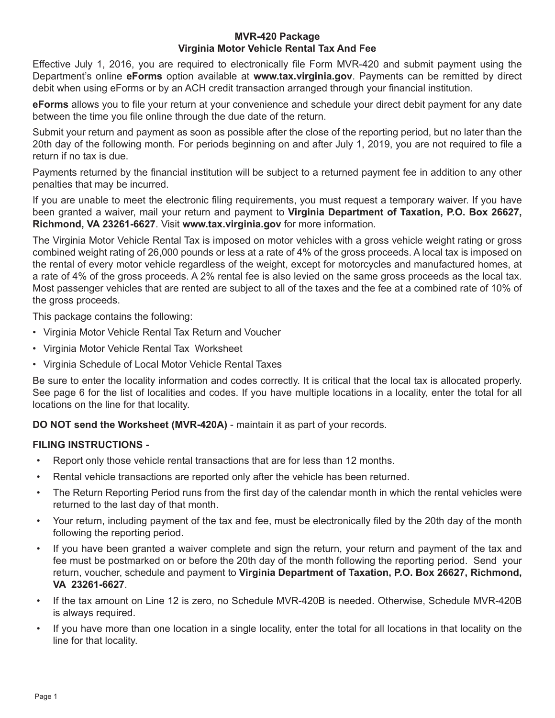#### **MVR-420 Package Virginia Motor Vehicle Rental Tax And Fee**

Effective July 1, 2016, you are required to electronically file Form MVR-420 and submit payment using the Department's online **eForms** option available at **www.tax.virginia.gov**. Payments can be remitted by direct debit when using eForms or by an ACH credit transaction arranged through your financial institution.

**eForms** allows you to file your return at your convenience and schedule your direct debit payment for any date between the time you file online through the due date of the return.

Submit your return and payment as soon as possible after the close of the reporting period, but no later than the 20th day of the following month. For periods beginning on and after July 1, 2019, you are not required to file a return if no tax is due.

Payments returned by the financial institution will be subject to a returned payment fee in addition to any other penalties that may be incurred.

If you are unable to meet the electronic filing requirements, you must request a temporary waiver. If you have been granted a waiver, mail your return and payment to **Virginia Department of Taxation, P.O. Box 26627, Richmond, VA 23261-6627**. Visit **www.tax.virginia.gov** for more information.

The Virginia Motor Vehicle Rental Tax is imposed on motor vehicles with a gross vehicle weight rating or gross combined weight rating of 26,000 pounds or less at a rate of 4% of the gross proceeds. A local tax is imposed on the rental of every motor vehicle regardless of the weight, except for motorcycles and manufactured homes, at a rate of 4% of the gross proceeds. A 2% rental fee is also levied on the same gross proceeds as the local tax. Most passenger vehicles that are rented are subject to all of the taxes and the fee at a combined rate of 10% of the gross proceeds.

This package contains the following:

- Virginia Motor Vehicle Rental Tax Return and Voucher
- Virginia Motor Vehicle Rental Tax Worksheet
- Virginia Schedule of Local Motor Vehicle Rental Taxes

Be sure to enter the locality information and codes correctly. It is critical that the local tax is allocated properly. See page 6 for the list of localities and codes. If you have multiple locations in a locality, enter the total for all locations on the line for that locality.

**DO NOT send the Worksheet (MVR-420A)** - maintain it as part of your records.

## **FILING INSTRUCTIONS -**

- Report only those vehicle rental transactions that are for less than 12 months.
- Rental vehicle transactions are reported only after the vehicle has been returned.
- The Return Reporting Period runs from the first day of the calendar month in which the rental vehicles were returned to the last day of that month.
- Your return, including payment of the tax and fee, must be electronically filed by the 20th day of the month following the reporting period.
- If you have been granted a waiver complete and sign the return, your return and payment of the tax and fee must be postmarked on or before the 20th day of the month following the reporting period. Send your return, voucher, schedule and payment to **Virginia Department of Taxation, P.O. Box 26627, Richmond, VA 23261-6627**.
- If the tax amount on Line 12 is zero, no Schedule MVR-420B is needed. Otherwise, Schedule MVR-420B is always required.
- If you have more than one location in a single locality, enter the total for all locations in that locality on the line for that locality.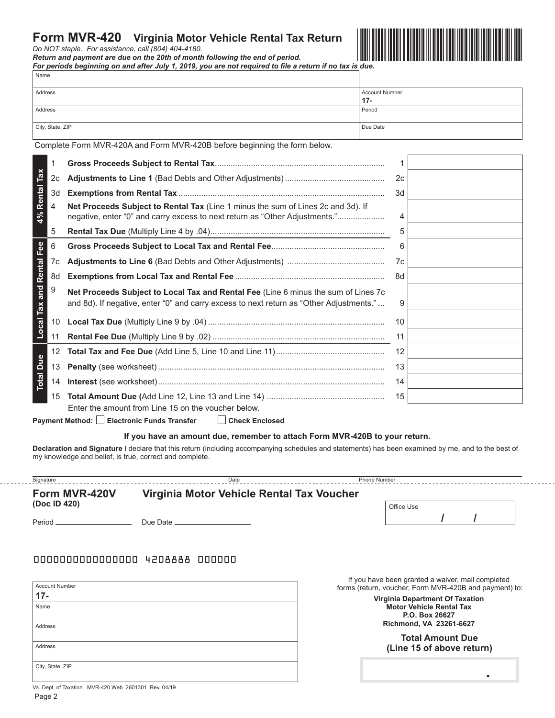## **Form MVR-420 Virginia Motor Vehicle Rental Tax Return**

*Do NOT staple. For assistance, call (804) 404-4180.* 

*Return and payment are due on the 20th of month following the end of period.* 

*For periods beginning on and after July 1, 2019, you are not required to file a return if no tax is due.* Name



| <b>Address</b>           |                  | $17 -$                                                                                                                                                                        | <b>Account Number</b> |    |  |  |  |
|--------------------------|------------------|-------------------------------------------------------------------------------------------------------------------------------------------------------------------------------|-----------------------|----|--|--|--|
| <b>Address</b>           |                  | Period                                                                                                                                                                        |                       |    |  |  |  |
|                          | City, State, ZIP |                                                                                                                                                                               | Due Date              |    |  |  |  |
|                          |                  | Complete Form MVR-420A and Form MVR-420B before beginning the form below.                                                                                                     |                       |    |  |  |  |
|                          | 1                |                                                                                                                                                                               |                       | 1  |  |  |  |
|                          | 2c               |                                                                                                                                                                               | 2c                    |    |  |  |  |
|                          | 3d               |                                                                                                                                                                               |                       | 3d |  |  |  |
| 4% Rental Tax            | 4                | Net Proceeds Subject to Rental Tax (Line 1 minus the sum of Lines 2c and 3d). If<br>negative, enter "0" and carry excess to next return as "Other Adjustments."               | 4                     |    |  |  |  |
|                          | 5                |                                                                                                                                                                               |                       | 5  |  |  |  |
|                          | 6                |                                                                                                                                                                               |                       | 6  |  |  |  |
|                          | 7c               |                                                                                                                                                                               |                       | 7c |  |  |  |
|                          | 8d               |                                                                                                                                                                               | 8d                    |    |  |  |  |
| Local Tax and Rental Fee | 9                | Net Proceeds Subject to Local Tax and Rental Fee (Line 6 minus the sum of Lines 7c<br>and 8d). If negative, enter "0" and carry excess to next return as "Other Adjustments." |                       | 9  |  |  |  |
|                          | 10 <sup>1</sup>  |                                                                                                                                                                               |                       | 10 |  |  |  |
|                          | 11               |                                                                                                                                                                               |                       | 11 |  |  |  |
|                          | 12 <sup>°</sup>  |                                                                                                                                                                               |                       | 12 |  |  |  |
| <b>Total Due</b>         | 13               |                                                                                                                                                                               |                       | 13 |  |  |  |
|                          | 14               |                                                                                                                                                                               |                       | 14 |  |  |  |
|                          | 15               | Enter the amount from Line 15 on the voucher below.                                                                                                                           |                       | 15 |  |  |  |

Payment Method: Electronic Funds Transfer **Check Enclosed** 

#### **If you have an amount due, remember to attach Form MVR-420B to your return.**

**Declaration and Signature** I declare that this return (including accompanying schedules and statements) has been examined by me, and to the best of my knowledge and belief, is true, correct and complete.

| Signature     | Date                                      | <b>Phone Number</b> |  |
|---------------|-------------------------------------------|---------------------|--|
| Form MVR-420V | Virginia Motor Vehicle Rental Tax Voucher |                     |  |
| (Doc ID 420)  |                                           | Office Use          |  |

Period Due Date

## 0000000000000000 4208888 000000

| <b>Account Number</b> |  |
|-----------------------|--|
| $17 -$                |  |
| Name                  |  |
|                       |  |
| Address               |  |
|                       |  |
| Address               |  |
|                       |  |
| City, State, ZIP      |  |
|                       |  |

If you have been granted a waiver, mail completed forms (return, voucher, Form MVR-420B and payment) to:

**/ /**

**Virginia Department Of Taxation Motor Vehicle Rental Tax P.O. Box 26627 Richmond, VA 23261-6627**

**Total Amount Due (Line 15 of above return)**

.

 Page 2 Va. Dept. of Taxation MVR-420 Web 2601301 Rev. 04/19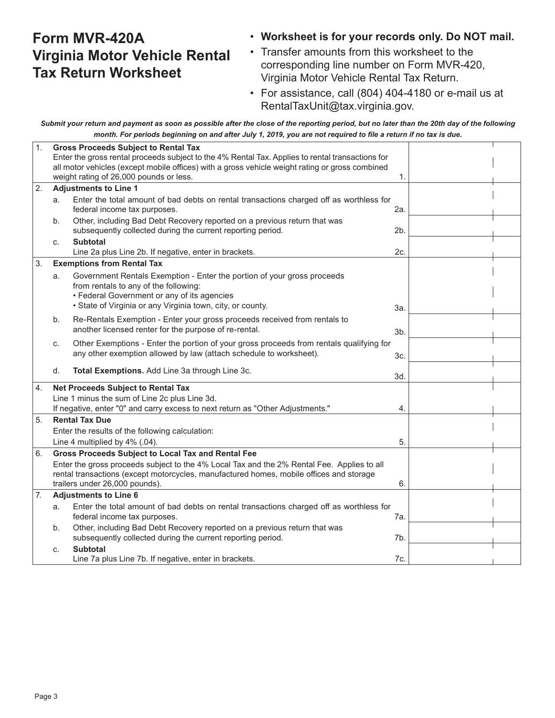## **Form MVR-420A Virginia Motor Vehicle Rental Tax Return Worksheet**

## • **Worksheet is for your records only. Do NOT mail.**

- Transfer amounts from this worksheet to the corresponding line number on Form MVR-420, Virginia Motor Vehicle Rental Tax Return.
- For assistance, call (804) 404-4180 or e-mail us at RentalTaxUnit@tax.virginia.gov.

*Submit your return and payment as soon as possible after the close of the reporting period, but no later than the 20th day of the following month. For periods beginning on and after July 1, 2019, you are not required to file a return if no tax is due.*

| 1. | <b>Gross Proceeds Subject to Rental Tax</b> |                                                                                                  |                |  |  |  |  |
|----|---------------------------------------------|--------------------------------------------------------------------------------------------------|----------------|--|--|--|--|
|    |                                             | Enter the gross rental proceeds subject to the 4% Rental Tax. Applies to rental transactions for |                |  |  |  |  |
|    |                                             | all motor vehicles (except mobile offices) with a gross vehicle weight rating or gross combined  |                |  |  |  |  |
|    |                                             | weight rating of 26,000 pounds or less.                                                          | 1.             |  |  |  |  |
| 2. |                                             | <b>Adjustments to Line 1</b>                                                                     |                |  |  |  |  |
|    | a.                                          | Enter the total amount of bad debts on rental transactions charged off as worthless for          |                |  |  |  |  |
|    |                                             | federal income tax purposes.                                                                     | 2a.            |  |  |  |  |
|    | b.                                          | Other, including Bad Debt Recovery reported on a previous return that was                        |                |  |  |  |  |
|    |                                             | subsequently collected during the current reporting period.                                      | 2 <sub>b</sub> |  |  |  |  |
|    | C.                                          | <b>Subtotal</b>                                                                                  |                |  |  |  |  |
|    |                                             | Line 2a plus Line 2b. If negative, enter in brackets.                                            | 2c.            |  |  |  |  |
| 3. |                                             | <b>Exemptions from Rental Tax</b>                                                                |                |  |  |  |  |
|    | a.                                          | Government Rentals Exemption - Enter the portion of your gross proceeds                          |                |  |  |  |  |
|    |                                             | from rentals to any of the following:                                                            |                |  |  |  |  |
|    |                                             | • Federal Government or any of its agencies                                                      |                |  |  |  |  |
|    |                                             | • State of Virginia or any Virginia town, city, or county.                                       | 3a.            |  |  |  |  |
|    | b.                                          | Re-Rentals Exemption - Enter your gross proceeds received from rentals to                        |                |  |  |  |  |
|    |                                             | another licensed renter for the purpose of re-rental.                                            | 3b.            |  |  |  |  |
|    | C.                                          | Other Exemptions - Enter the portion of your gross proceeds from rentals qualifying for          |                |  |  |  |  |
|    |                                             | any other exemption allowed by law (attach schedule to worksheet).                               | 3c.            |  |  |  |  |
|    |                                             |                                                                                                  |                |  |  |  |  |
|    | d.                                          | Total Exemptions. Add Line 3a through Line 3c.                                                   | 3d.            |  |  |  |  |
| 4. |                                             | Net Proceeds Subject to Rental Tax                                                               |                |  |  |  |  |
|    |                                             | Line 1 minus the sum of Line 2c plus Line 3d.                                                    |                |  |  |  |  |
|    |                                             | If negative, enter "0" and carry excess to next return as "Other Adjustments."                   | 4.             |  |  |  |  |
| 5. |                                             | <b>Rental Tax Due</b>                                                                            |                |  |  |  |  |
|    |                                             | Enter the results of the following calculation:                                                  |                |  |  |  |  |
|    |                                             | Line 4 multiplied by 4% (.04).                                                                   | 5.             |  |  |  |  |
| 6. |                                             | <b>Gross Proceeds Subject to Local Tax and Rental Fee</b>                                        |                |  |  |  |  |
|    |                                             | Enter the gross proceeds subject to the 4% Local Tax and the 2% Rental Fee. Applies to all       |                |  |  |  |  |
|    |                                             | rental transactions (except motorcycles, manufactured homes, mobile offices and storage          |                |  |  |  |  |
|    |                                             | trailers under 26,000 pounds).                                                                   | 6.             |  |  |  |  |
| 7. |                                             | <b>Adjustments to Line 6</b>                                                                     |                |  |  |  |  |
|    | a.                                          | Enter the total amount of bad debts on rental transactions charged off as worthless for          |                |  |  |  |  |
|    |                                             | federal income tax purposes.                                                                     | 7а.            |  |  |  |  |
|    | b.                                          | Other, including Bad Debt Recovery reported on a previous return that was                        |                |  |  |  |  |
|    |                                             | subsequently collected during the current reporting period.                                      | 7b.            |  |  |  |  |
|    | C.                                          | <b>Subtotal</b>                                                                                  |                |  |  |  |  |
|    |                                             | Line 7a plus Line 7b. If negative, enter in brackets.                                            | 7с.            |  |  |  |  |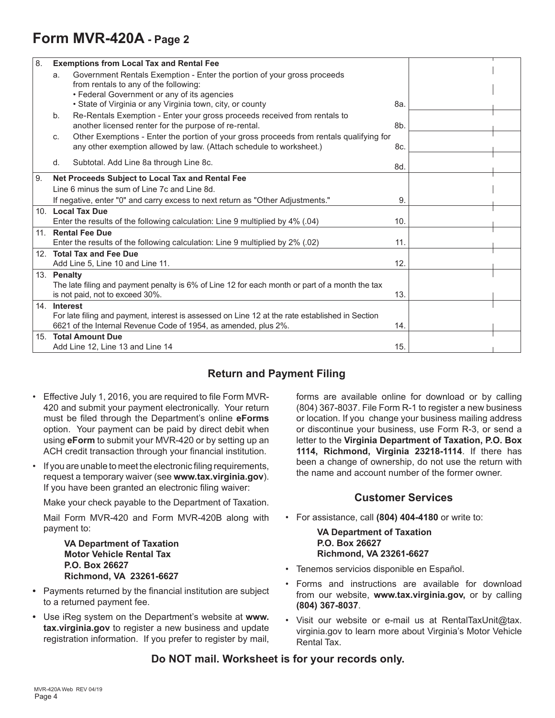# **Form MVR-420A - Page 2**

| 8. |              | <b>Exemptions from Local Tax and Rental Fee</b>                                                                                                                    |     |  |
|----|--------------|--------------------------------------------------------------------------------------------------------------------------------------------------------------------|-----|--|
|    | a.           | Government Rentals Exemption - Enter the portion of your gross proceeds<br>from rentals to any of the following:<br>• Federal Government or any of its agencies    |     |  |
|    |              | • State of Virginia or any Virginia town, city, or county                                                                                                          | 8а. |  |
|    | b.           | Re-Rentals Exemption - Enter your gross proceeds received from rentals to<br>another licensed renter for the purpose of re-rental.                                 | 8b. |  |
|    | C.           | Other Exemptions - Enter the portion of your gross proceeds from rentals qualifying for<br>any other exemption allowed by law. (Attach schedule to worksheet.)     | 8c. |  |
|    | d.           | Subtotal. Add Line 8a through Line 8c.                                                                                                                             | 8d. |  |
| 9. |              | Net Proceeds Subject to Local Tax and Rental Fee                                                                                                                   |     |  |
|    |              | Line 6 minus the sum of Line 7c and Line 8d.                                                                                                                       |     |  |
|    |              | If negative, enter "0" and carry excess to next return as "Other Adjustments."                                                                                     | 9.  |  |
|    |              | 10. Local Tax Due<br>Enter the results of the following calculation: Line 9 multiplied by 4% (.04)                                                                 | 10. |  |
|    |              | 11. Rental Fee Due                                                                                                                                                 |     |  |
|    |              | Enter the results of the following calculation: Line 9 multiplied by 2% (.02)                                                                                      | 11. |  |
|    |              | 12. Total Tax and Fee Due                                                                                                                                          |     |  |
|    |              | Add Line 5, Line 10 and Line 11.                                                                                                                                   | 12. |  |
|    | 13. Penalty  |                                                                                                                                                                    |     |  |
|    |              | The late filing and payment penalty is 6% of Line 12 for each month or part of a month the tax<br>is not paid, not to exceed 30%.                                  | 13. |  |
|    | 14. Interest |                                                                                                                                                                    |     |  |
|    |              | For late filing and payment, interest is assessed on Line 12 at the rate established in Section<br>6621 of the Internal Revenue Code of 1954, as amended, plus 2%. | 14. |  |
|    |              | 15. Total Amount Due<br>Add Line 12, Line 13 and Line 14                                                                                                           | 15. |  |

## **Return and Payment Filing**

- Effective July 1, 2016, you are required to file Form MVR-420 and submit your payment electronically. Your return must be filed through the Department's online **eForms** option. Your payment can be paid by direct debit when using **eForm** to submit your MVR-420 or by setting up an ACH credit transaction through your financial institution.
- If you are unable to meet the electronic filing requirements, request a temporary waiver (see **www.tax.virginia.gov**). If you have been granted an electronic filing waiver:

Make your check payable to the Department of Taxation.

Mail Form MVR-420 and Form MVR-420B along with payment to:

#### **VA Department of Taxation Motor Vehicle Rental Tax P.O. Box 26627 Richmond, VA 23261-6627**

- **•** Payments returned by the financial institution are subject to a returned payment fee.
- **•** Use iReg system on the Department's website at **www. tax.virginia.gov** to register a new business and update registration information. If you prefer to register by mail,

forms are available online for download or by calling (804) 367-8037. File Form R-1 to register a new business or location. If you change your business mailing address or discontinue your business, use Form R-3, or send a letter to the **Virginia Department of Taxation, P.O. Box 1114, Richmond, Virginia 23218-1114**. If there has been a change of ownership, do not use the return with the name and account number of the former owner.

## **Customer Services**

• For assistance, call **(804) 404-4180** or write to:

 **VA Department of Taxation P.O. Box 26627 Richmond, VA 23261-6627**

- Tenemos servicios disponible en Español.
- Forms and instructions are available for download from our website, **www.tax.virginia.gov,** or by calling **(804) 367-8037**.
- Visit our website or e-mail us at RentalTaxUnit@tax. virginia.gov to learn more about Virginia's Motor Vehicle Rental Tax.

## **Do NOT mail. Worksheet is for your records only.**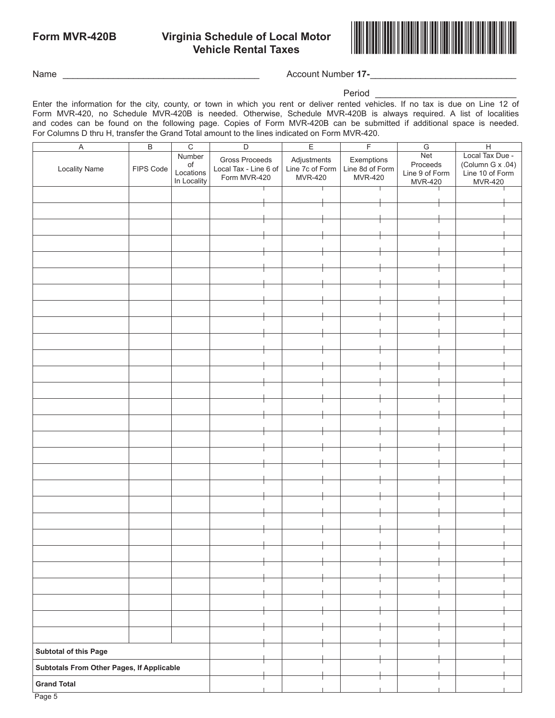# **Virginia Schedule of Local Motor<br>
Vehicle Rental Taxes**



Name \_\_\_\_\_\_\_\_\_\_\_\_\_\_\_\_\_\_\_\_\_\_\_\_\_\_\_\_\_\_\_\_\_\_\_\_\_\_\_ Account Number **17-**\_\_\_\_\_\_\_\_\_\_\_\_\_\_\_\_\_\_\_\_\_\_\_\_\_\_\_\_\_

#### Period

Enter the information for the city, county, or town in which you rent or deliver rented vehicles. If no tax is due on Line 12 of Form MVR-420, no Schedule MVR-420B is needed. Otherwise, Schedule MVR-420B is always required. A list of localities and codes can be found on the following page. Copies of Form MVR-420B can be submitted if additional space is needed. For Columns D thru H, transfer the Grand Total amount to the lines indicated on Form MVR-420.

| $\overline{B}$<br>$\overline{C}$<br>$\boldsymbol{\mathsf{A}}$ |           |             | $\overline{E}$<br>$\overline{D}$ |                                | $\overline{F}$  | ${\mathsf G}$  | $\overline{H}$   |  |
|---------------------------------------------------------------|-----------|-------------|----------------------------------|--------------------------------|-----------------|----------------|------------------|--|
|                                                               |           | Number      | <b>Gross Proceeds</b>            |                                | Exemptions      | Net            | Local Tax Due -  |  |
| <b>Locality Name</b>                                          | FIPS Code | $\circ f$   | Local Tax - Line 6 of            | Adjustments<br>Line 7c of Form | Line 8d of Form | Proceeds       | (Column G x .04) |  |
|                                                               |           | Locations   | Form MVR-420                     | <b>MVR-420</b>                 | MVR-420         | Line 9 of Form | Line 10 of Form  |  |
|                                                               |           | In Locality |                                  |                                |                 | MVR-420        | <b>MVR-420</b>   |  |
|                                                               |           |             |                                  |                                |                 |                |                  |  |
|                                                               |           |             |                                  |                                |                 |                |                  |  |
|                                                               |           |             |                                  |                                |                 |                |                  |  |
|                                                               |           |             |                                  |                                |                 |                |                  |  |
|                                                               |           |             |                                  |                                |                 |                |                  |  |
|                                                               |           |             |                                  |                                |                 |                |                  |  |
|                                                               |           |             |                                  |                                |                 |                |                  |  |
|                                                               |           |             |                                  |                                |                 |                |                  |  |
|                                                               |           |             |                                  |                                |                 |                |                  |  |
|                                                               |           |             |                                  |                                |                 |                |                  |  |
|                                                               |           |             |                                  |                                |                 |                |                  |  |
|                                                               |           |             |                                  |                                |                 |                |                  |  |
|                                                               |           |             |                                  |                                |                 |                |                  |  |
|                                                               |           |             |                                  |                                |                 |                |                  |  |
|                                                               |           |             |                                  |                                |                 |                |                  |  |
|                                                               |           |             |                                  |                                |                 |                |                  |  |
|                                                               |           |             |                                  |                                |                 |                |                  |  |
|                                                               |           |             |                                  |                                |                 |                |                  |  |
|                                                               |           |             |                                  |                                |                 |                |                  |  |
|                                                               |           |             |                                  |                                |                 |                |                  |  |
|                                                               |           |             |                                  |                                |                 |                |                  |  |
|                                                               |           |             |                                  |                                |                 |                |                  |  |
|                                                               |           |             |                                  |                                |                 |                |                  |  |
|                                                               |           |             |                                  |                                |                 |                |                  |  |
|                                                               |           |             |                                  |                                |                 |                |                  |  |
|                                                               |           |             |                                  |                                |                 |                |                  |  |
|                                                               |           |             |                                  |                                |                 |                |                  |  |
|                                                               |           |             |                                  |                                |                 |                |                  |  |
|                                                               |           |             |                                  |                                |                 |                |                  |  |
|                                                               |           |             |                                  |                                |                 |                |                  |  |
|                                                               |           |             |                                  |                                |                 |                |                  |  |
|                                                               |           |             |                                  |                                |                 |                |                  |  |
|                                                               |           |             |                                  |                                |                 |                |                  |  |
|                                                               |           |             |                                  |                                |                 |                |                  |  |
|                                                               |           |             |                                  |                                |                 |                |                  |  |
|                                                               |           |             |                                  |                                |                 |                |                  |  |
|                                                               |           |             |                                  |                                |                 |                |                  |  |
|                                                               |           |             |                                  |                                |                 |                |                  |  |
|                                                               |           |             |                                  |                                |                 |                |                  |  |
|                                                               |           |             |                                  |                                |                 |                |                  |  |
|                                                               |           |             |                                  |                                |                 |                |                  |  |
|                                                               |           |             |                                  |                                |                 |                |                  |  |
|                                                               |           |             |                                  |                                |                 |                |                  |  |
|                                                               |           |             |                                  |                                |                 |                |                  |  |
|                                                               |           |             |                                  |                                |                 |                |                  |  |
|                                                               |           |             |                                  |                                |                 |                |                  |  |
|                                                               |           |             |                                  |                                |                 |                |                  |  |
|                                                               |           |             |                                  |                                |                 |                |                  |  |
|                                                               |           |             |                                  |                                |                 |                |                  |  |
| <b>Subtotal of this Page</b>                                  |           |             |                                  |                                |                 |                |                  |  |
| Subtotals From Other Pages, If Applicable                     |           |             |                                  |                                |                 |                |                  |  |
| <b>Grand Total</b>                                            |           |             |                                  |                                |                 |                |                  |  |
|                                                               |           |             |                                  |                                |                 |                |                  |  |